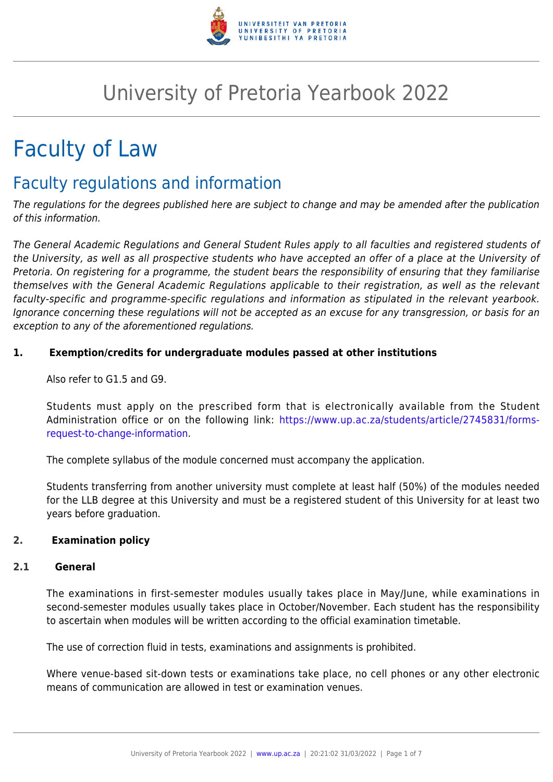

# University of Pretoria Yearbook 2022

# Faculty of Law

# Faculty regulations and information

The regulations for the degrees published here are subject to change and may be amended after the publication of this information.

The General Academic Regulations and General Student Rules apply to all faculties and registered students of the University, as well as all prospective students who have accepted an offer of a place at the University of Pretoria. On registering for a programme, the student bears the responsibility of ensuring that they familiarise themselves with the General Academic Regulations applicable to their registration, as well as the relevant faculty-specific and programme-specific regulations and information as stipulated in the relevant yearbook. Ignorance concerning these regulations will not be accepted as an excuse for any transgression, or basis for an exception to any of the aforementioned regulations.

# **1. Exemption/credits for undergraduate modules passed at other institutions**

Also refer to G1.5 and G9.

Students must apply on the prescribed form that is electronically available from the Student Administration office or on the following link: [https://www.up.ac.za/students/article/2745831/forms](https://www.up.ac.za/students/article/2745831/forms-request-to-change-information)[request-to-change-information](https://www.up.ac.za/students/article/2745831/forms-request-to-change-information).

The complete syllabus of the module concerned must accompany the application.

Students transferring from another university must complete at least half (50%) of the modules needed for the LLB degree at this University and must be a registered student of this University for at least two years before graduation.

# **2. Examination policy**

#### **2.1 General**

The examinations in first-semester modules usually takes place in May/June, while examinations in second-semester modules usually takes place in October/November. Each student has the responsibility to ascertain when modules will be written according to the official examination timetable.

The use of correction fluid in tests, examinations and assignments is prohibited.

Where venue-based sit-down tests or examinations take place, no cell phones or any other electronic means of communication are allowed in test or examination venues.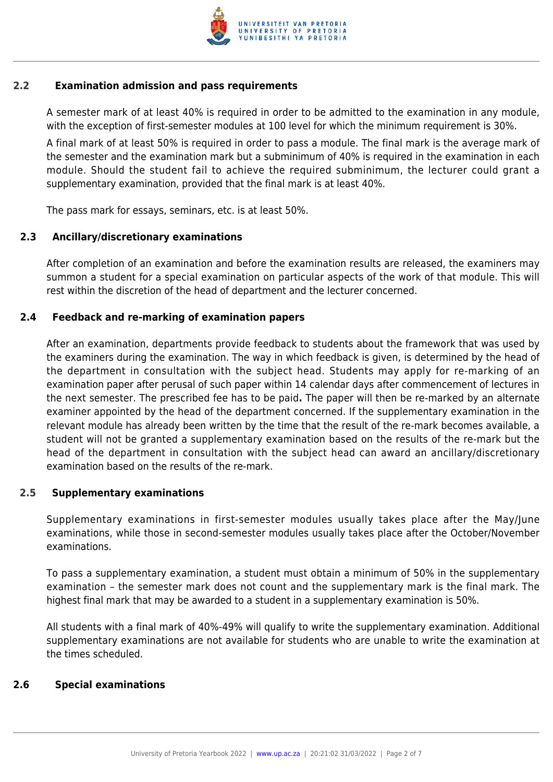

### **2.2 Examination admission and pass requirements**

A semester mark of at least 40% is required in order to be admitted to the examination in any module, with the exception of first-semester modules at 100 level for which the minimum requirement is 30%.

A final mark of at least 50% is required in order to pass a module. The final mark is the average mark of the semester and the examination mark but a subminimum of 40% is required in the examination in each module. Should the student fail to achieve the required subminimum, the lecturer could grant a supplementary examination, provided that the final mark is at least 40%.

The pass mark for essays, seminars, etc. is at least 50%.

# **2.3 Ancillary/discretionary examinations**

After completion of an examination and before the examination results are released, the examiners may summon a student for a special examination on particular aspects of the work of that module. This will rest within the discretion of the head of department and the lecturer concerned.

### **2.4 Feedback and re-marking of examination papers**

After an examination, departments provide feedback to students about the framework that was used by the examiners during the examination. The way in which feedback is given, is determined by the head of the department in consultation with the subject head. Students may apply for re-marking of an examination paper after perusal of such paper within 14 calendar days after commencement of lectures in the next semester. The prescribed fee has to be paid**.** The paper will then be re-marked by an alternate examiner appointed by the head of the department concerned. If the supplementary examination in the relevant module has already been written by the time that the result of the re-mark becomes available, a student will not be granted a supplementary examination based on the results of the re-mark but the head of the department in consultation with the subject head can award an ancillary/discretionary examination based on the results of the re-mark.

# **2.5 Supplementary examinations**

Supplementary examinations in first-semester modules usually takes place after the May/June examinations, while those in second-semester modules usually takes place after the October/November examinations.

To pass a supplementary examination, a student must obtain a minimum of 50% in the supplementary examination – the semester mark does not count and the supplementary mark is the final mark. The highest final mark that may be awarded to a student in a supplementary examination is 50%.

All students with a final mark of 40%-49% will qualify to write the supplementary examination. Additional supplementary examinations are not available for students who are unable to write the examination at the times scheduled.

#### **2.6 Special examinations**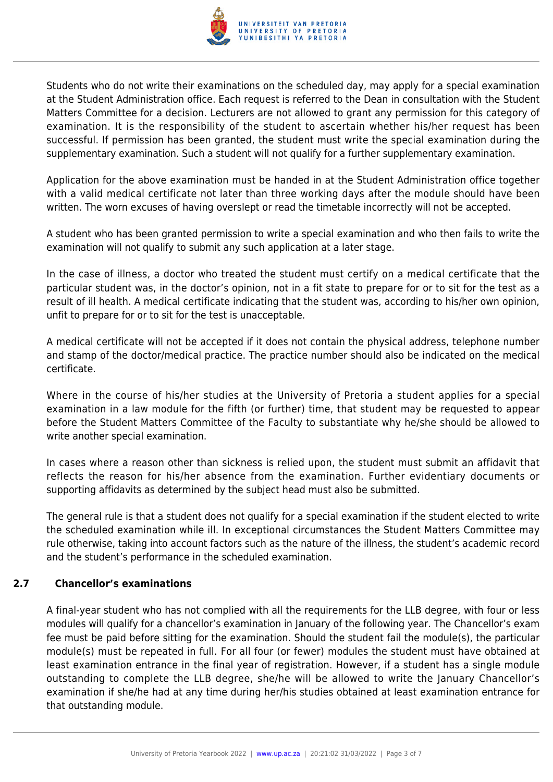

Students who do not write their examinations on the scheduled day, may apply for a special examination at the Student Administration office. Each request is referred to the Dean in consultation with the Student Matters Committee for a decision. Lecturers are not allowed to grant any permission for this category of examination. It is the responsibility of the student to ascertain whether his/her request has been successful. If permission has been granted, the student must write the special examination during the supplementary examination. Such a student will not qualify for a further supplementary examination.

Application for the above examination must be handed in at the Student Administration office together with a valid medical certificate not later than three working days after the module should have been written. The worn excuses of having overslept or read the timetable incorrectly will not be accepted.

A student who has been granted permission to write a special examination and who then fails to write the examination will not qualify to submit any such application at a later stage.

In the case of illness, a doctor who treated the student must certify on a medical certificate that the particular student was, in the doctor's opinion, not in a fit state to prepare for or to sit for the test as a result of ill health. A medical certificate indicating that the student was, according to his/her own opinion, unfit to prepare for or to sit for the test is unacceptable.

A medical certificate will not be accepted if it does not contain the physical address, telephone number and stamp of the doctor/medical practice. The practice number should also be indicated on the medical certificate.

Where in the course of his/her studies at the University of Pretoria a student applies for a special examination in a law module for the fifth (or further) time, that student may be requested to appear before the Student Matters Committee of the Faculty to substantiate why he/she should be allowed to write another special examination.

In cases where a reason other than sickness is relied upon, the student must submit an affidavit that reflects the reason for his/her absence from the examination. Further evidentiary documents or supporting affidavits as determined by the subject head must also be submitted.

The general rule is that a student does not qualify for a special examination if the student elected to write the scheduled examination while ill. In exceptional circumstances the Student Matters Committee may rule otherwise, taking into account factors such as the nature of the illness, the student's academic record and the student's performance in the scheduled examination.

# **2.7 Chancellor's examinations**

A final-year student who has not complied with all the requirements for the LLB degree, with four or less modules will qualify for a chancellor's examination in January of the following year. The Chancellor's exam fee must be paid before sitting for the examination. Should the student fail the module(s), the particular module(s) must be repeated in full. For all four (or fewer) modules the student must have obtained at least examination entrance in the final year of registration. However, if a student has a single module outstanding to complete the LLB degree, she/he will be allowed to write the January Chancellor's examination if she/he had at any time during her/his studies obtained at least examination entrance for that outstanding module.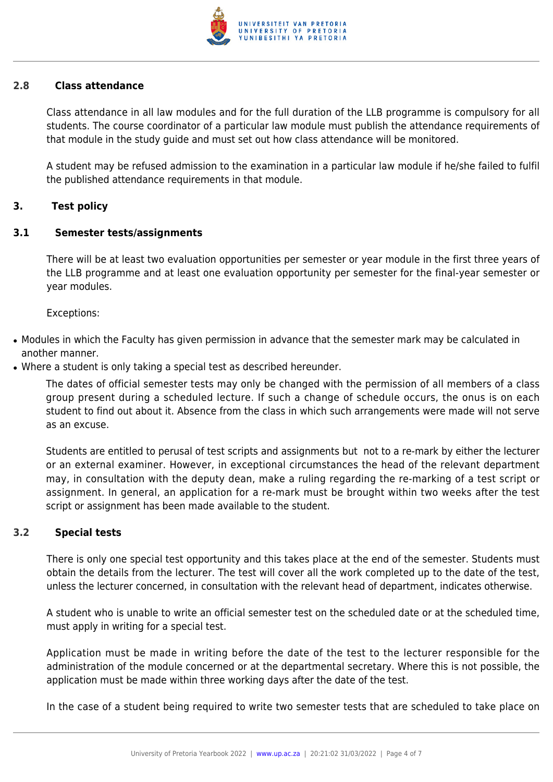

#### **2.8 Class attendance**

Class attendance in all law modules and for the full duration of the LLB programme is compulsory for all students. The course coordinator of a particular law module must publish the attendance requirements of that module in the study guide and must set out how class attendance will be monitored.

A student may be refused admission to the examination in a particular law module if he/she failed to fulfil the published attendance requirements in that module.

#### **3. Test policy**

#### **3.1 Semester tests/assignments**

There will be at least two evaluation opportunities per semester or year module in the first three years of the LLB programme and at least one evaluation opportunity per semester for the final-year semester or year modules.

Exceptions:

- Modules in which the Faculty has given permission in advance that the semester mark may be calculated in another manner.
- Where a student is only taking a special test as described hereunder.

The dates of official semester tests may only be changed with the permission of all members of a class group present during a scheduled lecture. If such a change of schedule occurs, the onus is on each student to find out about it. Absence from the class in which such arrangements were made will not serve as an excuse.

Students are entitled to perusal of test scripts and assignments but not to a re-mark by either the lecturer or an external examiner. However, in exceptional circumstances the head of the relevant department may, in consultation with the deputy dean, make a ruling regarding the re-marking of a test script or assignment. In general, an application for a re-mark must be brought within two weeks after the test script or assignment has been made available to the student.

#### **3.2 Special tests**

There is only one special test opportunity and this takes place at the end of the semester. Students must obtain the details from the lecturer. The test will cover all the work completed up to the date of the test, unless the lecturer concerned, in consultation with the relevant head of department, indicates otherwise.

A student who is unable to write an official semester test on the scheduled date or at the scheduled time, must apply in writing for a special test.

Application must be made in writing before the date of the test to the lecturer responsible for the administration of the module concerned or at the departmental secretary. Where this is not possible, the application must be made within three working days after the date of the test.

In the case of a student being required to write two semester tests that are scheduled to take place on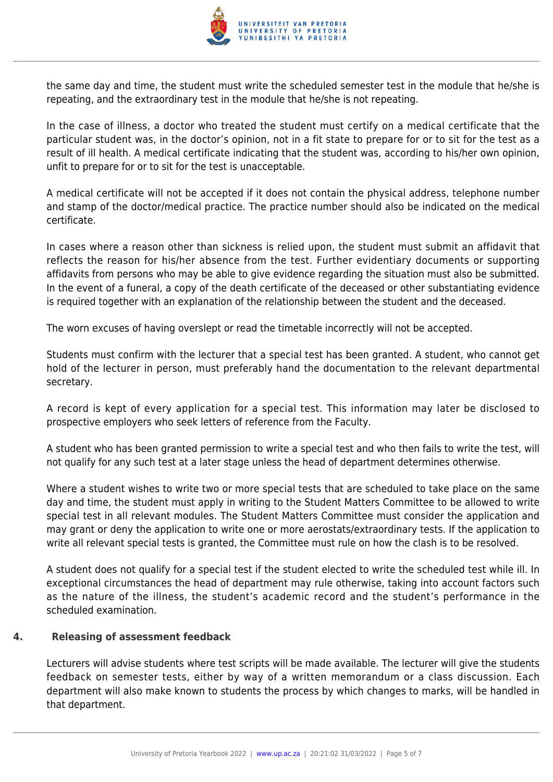

the same day and time, the student must write the scheduled semester test in the module that he/she is repeating, and the extraordinary test in the module that he/she is not repeating.

In the case of illness, a doctor who treated the student must certify on a medical certificate that the particular student was, in the doctor's opinion, not in a fit state to prepare for or to sit for the test as a result of ill health. A medical certificate indicating that the student was, according to his/her own opinion, unfit to prepare for or to sit for the test is unacceptable.

A medical certificate will not be accepted if it does not contain the physical address, telephone number and stamp of the doctor/medical practice. The practice number should also be indicated on the medical certificate.

In cases where a reason other than sickness is relied upon, the student must submit an affidavit that reflects the reason for his/her absence from the test. Further evidentiary documents or supporting affidavits from persons who may be able to give evidence regarding the situation must also be submitted. In the event of a funeral, a copy of the death certificate of the deceased or other substantiating evidence is required together with an explanation of the relationship between the student and the deceased.

The worn excuses of having overslept or read the timetable incorrectly will not be accepted.

Students must confirm with the lecturer that a special test has been granted. A student, who cannot get hold of the lecturer in person, must preferably hand the documentation to the relevant departmental secretary.

A record is kept of every application for a special test. This information may later be disclosed to prospective employers who seek letters of reference from the Faculty.

A student who has been granted permission to write a special test and who then fails to write the test, will not qualify for any such test at a later stage unless the head of department determines otherwise.

Where a student wishes to write two or more special tests that are scheduled to take place on the same day and time, the student must apply in writing to the Student Matters Committee to be allowed to write special test in all relevant modules. The Student Matters Committee must consider the application and may grant or deny the application to write one or more aerostats/extraordinary tests. If the application to write all relevant special tests is granted, the Committee must rule on how the clash is to be resolved.

A student does not qualify for a special test if the student elected to write the scheduled test while ill. In exceptional circumstances the head of department may rule otherwise, taking into account factors such as the nature of the illness, the student's academic record and the student's performance in the scheduled examination.

# **4. Releasing of assessment feedback**

Lecturers will advise students where test scripts will be made available. The lecturer will give the students feedback on semester tests, either by way of a written memorandum or a class discussion. Each department will also make known to students the process by which changes to marks, will be handled in that department.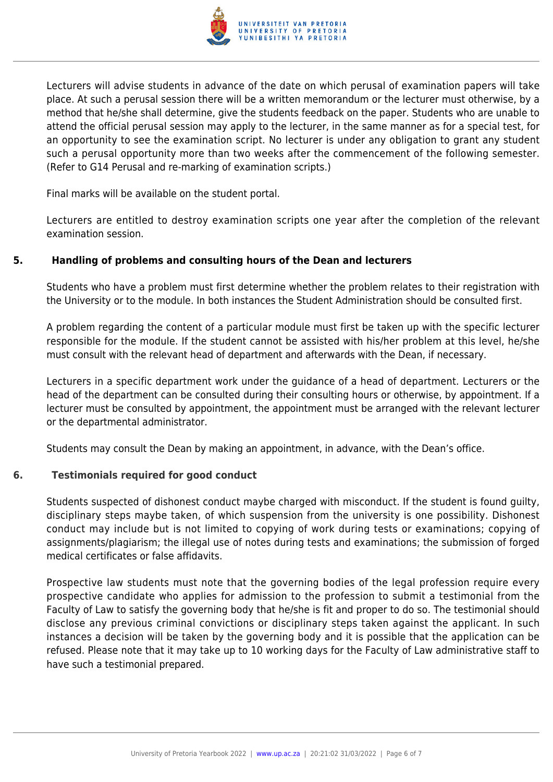

Lecturers will advise students in advance of the date on which perusal of examination papers will take place. At such a perusal session there will be a written memorandum or the lecturer must otherwise, by a method that he/she shall determine, give the students feedback on the paper. Students who are unable to attend the official perusal session may apply to the lecturer, in the same manner as for a special test, for an opportunity to see the examination script. No lecturer is under any obligation to grant any student such a perusal opportunity more than two weeks after the commencement of the following semester. (Refer to G14 Perusal and re-marking of examination scripts.)

Final marks will be available on the student portal.

Lecturers are entitled to destroy examination scripts one year after the completion of the relevant examination session.

# **5. Handling of problems and consulting hours of the Dean and lecturers**

Students who have a problem must first determine whether the problem relates to their registration with the University or to the module. In both instances the Student Administration should be consulted first.

A problem regarding the content of a particular module must first be taken up with the specific lecturer responsible for the module. If the student cannot be assisted with his/her problem at this level, he/she must consult with the relevant head of department and afterwards with the Dean, if necessary.

Lecturers in a specific department work under the guidance of a head of department. Lecturers or the head of the department can be consulted during their consulting hours or otherwise, by appointment. If a lecturer must be consulted by appointment, the appointment must be arranged with the relevant lecturer or the departmental administrator.

Students may consult the Dean by making an appointment, in advance, with the Dean's office.

# **6. Testimonials required for good conduct**

Students suspected of dishonest conduct maybe charged with misconduct. If the student is found guilty, disciplinary steps maybe taken, of which suspension from the university is one possibility. Dishonest conduct may include but is not limited to copying of work during tests or examinations; copying of assignments/plagiarism; the illegal use of notes during tests and examinations; the submission of forged medical certificates or false affidavits.

Prospective law students must note that the governing bodies of the legal profession require every prospective candidate who applies for admission to the profession to submit a testimonial from the Faculty of Law to satisfy the governing body that he/she is fit and proper to do so. The testimonial should disclose any previous criminal convictions or disciplinary steps taken against the applicant. In such instances a decision will be taken by the governing body and it is possible that the application can be refused. Please note that it may take up to 10 working days for the Faculty of Law administrative staff to have such a testimonial prepared.